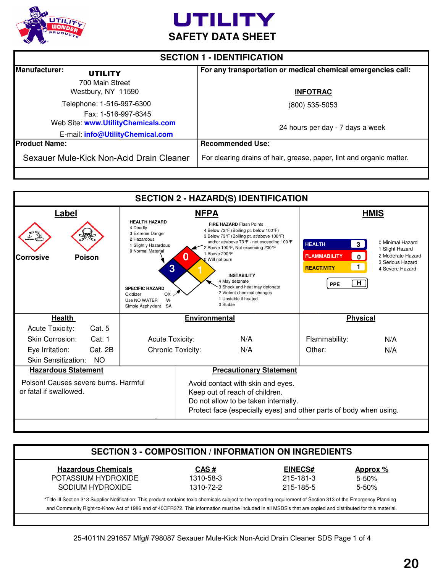



| <b>SECTION 1 - IDENTIFICATION</b>                                        |                                                                                 |  |
|--------------------------------------------------------------------------|---------------------------------------------------------------------------------|--|
| Manufacturer:<br><b>UTILITY</b><br>700 Main Street<br>Westbury, NY 11590 | For any transportation or medical chemical emergencies call:<br><b>INFOTRAC</b> |  |
| Telephone: 1-516-997-6300<br>Fax: 1-516-997-6345                         | (800) 535-5053                                                                  |  |
| Web Site: www.UtilityChemicals.com<br>E-mail: info@UtilityChemical.com   | 24 hours per day - 7 days a week                                                |  |
| <b>IProduct Name:</b>                                                    | <b>Recommended Use:</b>                                                         |  |
| Sexauer Mule-Kick Non-Acid Drain Cleaner                                 | For clearing drains of hair, grease, paper, lint and organic matter.            |  |

| <b>SECTION 2 - HAZARD(S) IDENTIFICATION</b>                                                                                                                                                                    |                                      |                                                                                                                                         |                                                                                                                                                                                                                                                                                                                                                                 |                                                                                                                               |
|----------------------------------------------------------------------------------------------------------------------------------------------------------------------------------------------------------------|--------------------------------------|-----------------------------------------------------------------------------------------------------------------------------------------|-----------------------------------------------------------------------------------------------------------------------------------------------------------------------------------------------------------------------------------------------------------------------------------------------------------------------------------------------------------------|-------------------------------------------------------------------------------------------------------------------------------|
|                                                                                                                                                                                                                |                                      |                                                                                                                                         |                                                                                                                                                                                                                                                                                                                                                                 | <b>HMIS</b>                                                                                                                   |
| <b>HEALTH HAZARD</b><br>4 Deadly<br>3 Extreme Danger<br>2 Hazardous<br>1 Slightly Hazardous<br>0 Normal Material<br>3<br><b>SPECIFIC HAZARD</b><br>Oxidizer<br>OX<br>₩<br>Use NO WATER<br>Simple Asphyxiant SA |                                      | <b>INSTABILITY</b><br>4 May detonate<br>3 Shock and heat may detonate<br>2 Violent chemical changes<br>1 Unstable if heated<br>0 Stable | <b>HEALTH</b><br>$\vert 3 \vert$<br><b>FLAMMABILITY</b><br>$\overline{0}$<br>$\mathbf{1}$<br><b>REACTIVITY</b><br>H<br>PPE                                                                                                                                                                                                                                      | 0 Minimal Hazard<br>1 Slight Hazard<br>2 Moderate Hazard<br>3 Serious Hazard<br>4 Severe Hazard                               |
|                                                                                                                                                                                                                |                                      |                                                                                                                                         |                                                                                                                                                                                                                                                                                                                                                                 |                                                                                                                               |
|                                                                                                                                                                                                                |                                      |                                                                                                                                         |                                                                                                                                                                                                                                                                                                                                                                 |                                                                                                                               |
|                                                                                                                                                                                                                |                                      | N/A                                                                                                                                     | Flammability:                                                                                                                                                                                                                                                                                                                                                   | N/A                                                                                                                           |
|                                                                                                                                                                                                                |                                      | N/A                                                                                                                                     | Other:                                                                                                                                                                                                                                                                                                                                                          | N/A                                                                                                                           |
|                                                                                                                                                                                                                |                                      |                                                                                                                                         |                                                                                                                                                                                                                                                                                                                                                                 |                                                                                                                               |
|                                                                                                                                                                                                                |                                      | <b>Precautionary Statement</b>                                                                                                          |                                                                                                                                                                                                                                                                                                                                                                 |                                                                                                                               |
|                                                                                                                                                                                                                |                                      |                                                                                                                                         |                                                                                                                                                                                                                                                                                                                                                                 |                                                                                                                               |
|                                                                                                                                                                                                                | Poison! Causes severe burns. Harmful | <b>Acute Toxicity:</b><br><b>Chronic Toxicity:</b>                                                                                      | <b>NFPA</b><br><b>FIRE HAZARD Flash Points</b><br>4 Below 73°F (Boiling pt. below 100°F)<br>3 Below 73°F (Boiling pt. at/above 100°F)<br>and/or at/above 73°F - not exceeding 100°F<br>2 Above 100 °F, Not exceeding 200 °F<br>1 Above 200 °F<br>O Will not burn<br><b>Environmental</b><br>Avoid contact with skin and eyes.<br>Keep out of reach of children. | <b>Physical</b><br>Do not allow to be taken internally.<br>Protect face (especially eyes) and other parts of body when using. |

| <b>Hazardous Chemicals</b> | CAS#      | <b>EINECS#</b> | Approx %  |
|----------------------------|-----------|----------------|-----------|
| POTASSIUM HYDROXIDE        | 1310-58-3 | 215-181-3      | $5 - 50%$ |
| SODIUM HYDROXIDE           | 1310-72-2 | 215-185-5      | $5 - 50%$ |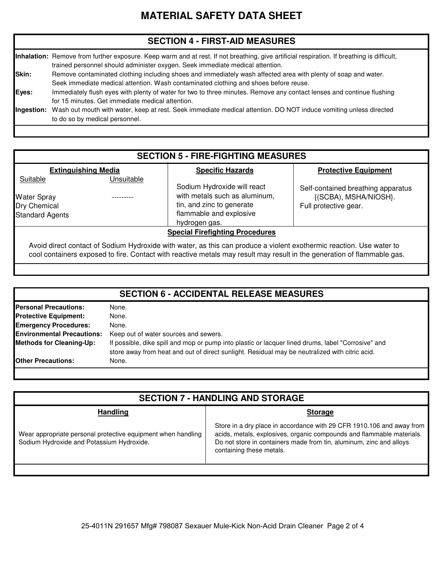# **MATERIAL SAFETY DATA SHEET**

## **SECTION 4 - FIRST-AID MEASURES**

|              | Inhalation: Remove from further exposure. Keep warm and at rest. If not breathing, give artificial respiration. If breathing is difficult,<br>trained personnel should administer oxygen. Seek immediate medical attention. |
|--------------|-----------------------------------------------------------------------------------------------------------------------------------------------------------------------------------------------------------------------------|
| <b>Skin:</b> | Remove contaminated clothing including shoes and immediately wash affected area with plenty of soap and water.<br>Seek immediate medical attention. Wash contaminated clothing and shoes before reuse.                      |
| Eyes:        | Immediately flush eyes with plenty of water for two to three minutes. Remove any contact lenses and continue flushing                                                                                                       |
| Ingestion:   | for 15 minutes. Get immediate medical attention.<br>Wash out mouth with water, keep at rest. Seek immediate medical attention. DO NOT induce vomiting unless directed<br>to do so by medical personnel.                     |

## **SECTION 5 - FIRE-FIGHTING MEASURES**

Sodium Hydroxide will react with metals such as aluminum, tin, and zinc to generate flammable and explosive

#### Suitable Unsuitable **Extinguishing Media Specific Hazards**

---------

#### **Protective Equipment**

Water Spray Standard Agents

Dry Chemical **Full protective gearer and Exercise** in tin, and zinc to generate **Full protective gear.** {(SCBA), MSHA/NIOSH}. Self-contained breathing apparatus

#### **Special Firefighting Procedures**

Avoid direct contact of Sodium Hydroxide with water, as this can produce a violent exothermic reaction. Use water to cool containers exposed to fire. Contact with reactive metals may result may result in the generation of flammable gas.

hydrogen gas.

| <b>SECTION 6 - ACCIDENTAL RELEASE MEASURES</b> |                                                                                                                                                                                                      |  |
|------------------------------------------------|------------------------------------------------------------------------------------------------------------------------------------------------------------------------------------------------------|--|
| <b>Personal Precautions:</b>                   | None.                                                                                                                                                                                                |  |
| <b>Protective Equipment:</b>                   | None.                                                                                                                                                                                                |  |
| <b>Emergency Procedures:</b>                   | None.                                                                                                                                                                                                |  |
| <b>Environmental Precautions:</b>              | Keep out of water sources and sewers.                                                                                                                                                                |  |
| <b>Methods for Cleaning-Up:</b>                | If possible, dike spill and mop or pump into plastic or lacquer lined drums, label "Corrosive" and<br>store away from heat and out of direct sunlight. Residual may be neutralized with citric acid. |  |
| <b>Other Precautions:</b>                      | None.                                                                                                                                                                                                |  |

| <b>SECTION 7 - HANDLING AND STORAGE</b>                                                                   |                                                                                                                                                                                                                                                   |  |
|-----------------------------------------------------------------------------------------------------------|---------------------------------------------------------------------------------------------------------------------------------------------------------------------------------------------------------------------------------------------------|--|
| <b>Handling</b>                                                                                           | <b>Storage</b>                                                                                                                                                                                                                                    |  |
| Wear appropriate personal protective equipment when handling<br>Sodium Hydroxide and Potassium Hydroxide. | Store in a dry place in accordance with 29 CFR 1910.106 and away from<br>acids, metals, explosives, organic compounds and flammable materials.<br>Do not store in containers made from tin, aluminum, zinc and alloys<br>containing these metals. |  |
|                                                                                                           |                                                                                                                                                                                                                                                   |  |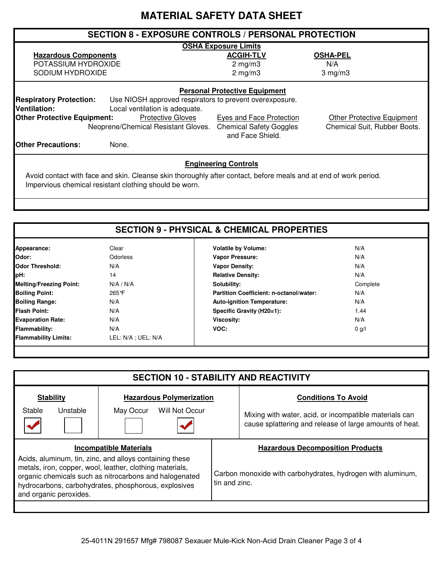# **MATERIAL SAFETY DATA SHEET**

| <b>SECTION 8 - EXPOSURE CONTROLS / PERSONAL PROTECTION</b>                                                                        |                                                    |                                   |  |  |
|-----------------------------------------------------------------------------------------------------------------------------------|----------------------------------------------------|-----------------------------------|--|--|
| <b>OSHA Exposure Limits</b>                                                                                                       |                                                    |                                   |  |  |
| <b>Hazardous Components</b>                                                                                                       | <b>ACGIH-TLV</b>                                   | <b>OSHA-PEL</b>                   |  |  |
| POTASSIUM HYDROXIDE                                                                                                               | $2 \text{ mg/m}$                                   | N/A                               |  |  |
| SODIUM HYDROXIDE                                                                                                                  | $2 \text{ mg/m}$                                   | $3$ mg/m $3$                      |  |  |
| <b>Personal Protective Equipment</b><br><b>Respiratory Protection:</b><br>Use NIOSH approved respirators to prevent overexposure. |                                                    |                                   |  |  |
| <b>Ventilation:</b><br>Local ventilation is adequate.<br><b>Other Protective Equipment:</b><br><b>Protective Gloves</b>           | Eyes and Face Protection                           | <b>Other Protective Equipment</b> |  |  |
| Neoprene/Chemical Resistant Gloves.                                                                                               | <b>Chemical Safety Goggles</b><br>and Face Shield. | Chemical Suit, Rubber Boots.      |  |  |
| <b>IOther Precautions:</b><br>None.                                                                                               |                                                    |                                   |  |  |
|                                                                                                                                   |                                                    |                                   |  |  |

## **Engineering Controls**

Avoid contact with face and skin. Cleanse skin thoroughly after contact, before meals and at end of work period. Impervious chemical resistant clothing should be worn.

| Appearance:                    | Clear               | <b>Volatile by Volume:</b>                     | N/A      |  |
|--------------------------------|---------------------|------------------------------------------------|----------|--|
| Odor:                          | Odorless            | Vapor Pressure:                                | N/A      |  |
| <b>Odor Threshold:</b>         | N/A                 | <b>Vapor Density:</b>                          | N/A      |  |
| pH:                            | 14                  | <b>Relative Density:</b>                       | N/A      |  |
| <b>Melting/Freezing Point:</b> | N/A / N/A           | Solubility:                                    | Complete |  |
| <b>Boiling Point:</b>          | 265°F               | <b>Partition Coefficient: n-octanol/water:</b> | N/A      |  |
| <b>Boiling Range:</b>          | N/A                 | <b>Auto-ignition Temperature:</b>              | N/A      |  |
| <b>Flash Point:</b>            | N/A                 | Specific Gravity (H20=1):                      | 1.44     |  |
| <b>Evaporation Rate:</b>       | N/A                 | Viscosity:                                     | N/A      |  |
| <b>Flammability:</b>           | N/A                 | VOC:                                           | $0$ g/l  |  |
| <b>Flammability Limits:</b>    | LEL: N/A ; UEL: N/A |                                                |          |  |

| <b>SECTION 10 - STABILITY AND REACTIVITY</b>                                                                                                                                                                                                                    |                                 |                                                                                                                   |  |
|-----------------------------------------------------------------------------------------------------------------------------------------------------------------------------------------------------------------------------------------------------------------|---------------------------------|-------------------------------------------------------------------------------------------------------------------|--|
| <b>Stability</b>                                                                                                                                                                                                                                                | <b>Hazardous Polymerization</b> | <b>Conditions To Avoid</b>                                                                                        |  |
| Stable<br>Unstable                                                                                                                                                                                                                                              | Will Not Occur<br>May Occur     | Mixing with water, acid, or incompatible materials can<br>cause splattering and release of large amounts of heat. |  |
|                                                                                                                                                                                                                                                                 | <b>Incompatible Materials</b>   | <b>Hazardous Decomposition Products</b>                                                                           |  |
| Acids, aluminum, tin, zinc, and alloys containing these<br>metals, iron, copper, wool, leather, clothing materials,<br>organic chemicals such as nitrocarbons and halogenated<br>hydrocarbons, carbohydrates, phosphorous, explosives<br>and organic peroxides. |                                 | Carbon monoxide with carbohydrates, hydrogen with aluminum,<br>tin and zinc.                                      |  |